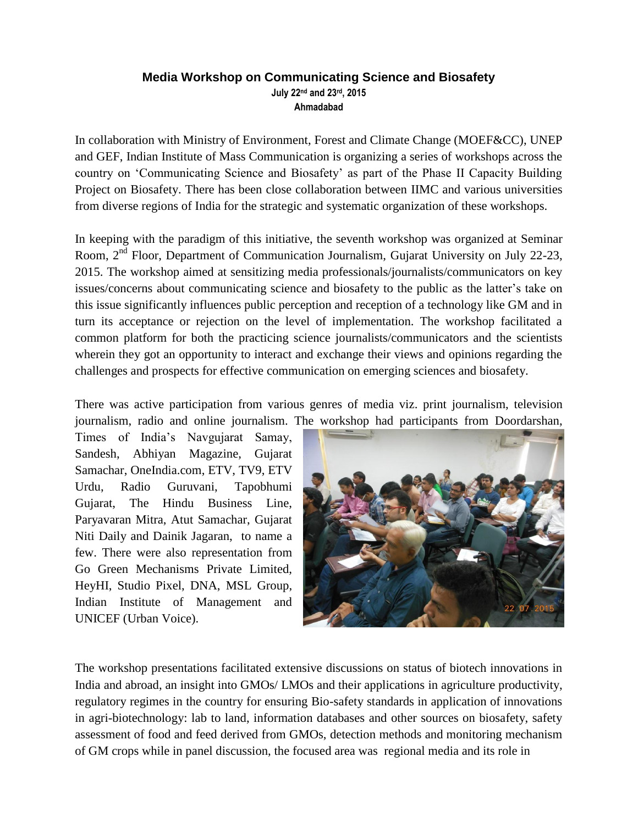## **Media Workshop on Communicating Science and Biosafety July 22nd and 23rd, 2015 Ahmadabad**

In collaboration with Ministry of Environment, Forest and Climate Change (MOEF&CC), UNEP and GEF, Indian Institute of Mass Communication is organizing a series of workshops across the country on 'Communicating Science and Biosafety' as part of the Phase II Capacity Building Project on Biosafety. There has been close collaboration between IIMC and various universities from diverse regions of India for the strategic and systematic organization of these workshops.

In keeping with the paradigm of this initiative, the seventh workshop was organized at Seminar Room, 2<sup>nd</sup> Floor, Department of Communication Journalism, Gujarat University on July 22-23, 2015. The workshop aimed at sensitizing media professionals/journalists/communicators on key issues/concerns about communicating science and biosafety to the public as the latter's take on this issue significantly influences public perception and reception of a technology like GM and in turn its acceptance or rejection on the level of implementation. The workshop facilitated a common platform for both the practicing science journalists/communicators and the scientists wherein they got an opportunity to interact and exchange their views and opinions regarding the challenges and prospects for effective communication on emerging sciences and biosafety.

There was active participation from various genres of media viz. print journalism, television journalism, radio and online journalism. The workshop had participants from Doordarshan,

Times of India's Navgujarat Samay, Sandesh, Abhiyan Magazine, Gujarat Samachar, OneIndia.com, ETV, TV9, ETV Urdu, Radio Guruvani, Tapobhumi Gujarat, The Hindu Business Line, Paryavaran Mitra, Atut Samachar, Gujarat Niti Daily and Dainik Jagaran, to name a few. There were also representation from Go Green Mechanisms Private Limited, HeyHI, Studio Pixel, DNA, MSL Group, Indian Institute of Management and UNICEF (Urban Voice).



The workshop presentations facilitated extensive discussions on status of biotech innovations in India and abroad, an insight into GMOs/ LMOs and their applications in agriculture productivity, regulatory regimes in the country for ensuring Bio-safety standards in application of innovations in agri-biotechnology: lab to land, information databases and other sources on biosafety, safety assessment of food and feed derived from GMOs, detection methods and monitoring mechanism of GM crops while in panel discussion, the focused area was regional media and its role in